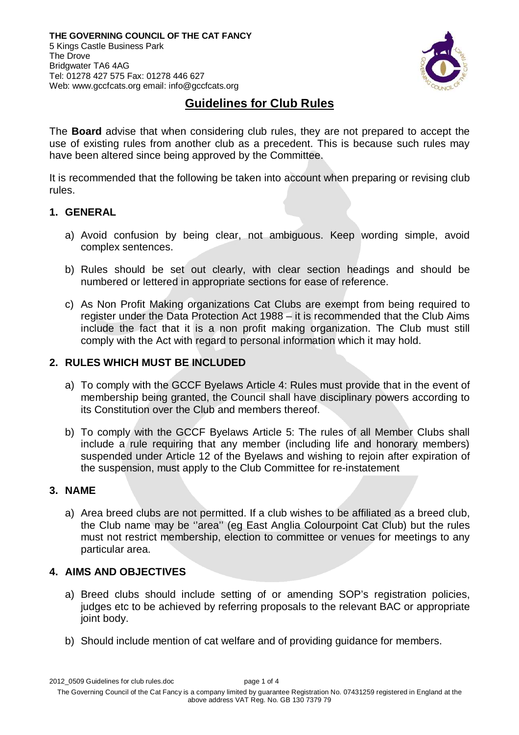

## **Guidelines for Club Rules**

The **Board** advise that when considering club rules, they are not prepared to accept the use of existing rules from another club as a precedent. This is because such rules may have been altered since being approved by the Committee.

It is recommended that the following be taken into account when preparing or revising club rules.

## **1. GENERAL**

- a) Avoid confusion by being clear, not ambiguous. Keep wording simple, avoid complex sentences.
- b) Rules should be set out clearly, with clear section headings and should be numbered or lettered in appropriate sections for ease of reference.
- c) As Non Profit Making organizations Cat Clubs are exempt from being required to register under the Data Protection Act 1988 – it is recommended that the Club Aims include the fact that it is a non profit making organization. The Club must still comply with the Act with regard to personal information which it may hold.

### **2. RULES WHICH MUST BE INCLUDED**

- a) To comply with the GCCF Byelaws Article 4: Rules must provide that in the event of membership being granted, the Council shall have disciplinary powers according to its Constitution over the Club and members thereof.
- b) To comply with the GCCF Byelaws Article 5: The rules of all Member Clubs shall include a rule requiring that any member (including life and honorary members) suspended under Article 12 of the Byelaws and wishing to rejoin after expiration of the suspension, must apply to the Club Committee for re-instatement

#### **3. NAME**

a) Area breed clubs are not permitted. If a club wishes to be affiliated as a breed club, the Club name may be ''area'' (eg East Anglia Colourpoint Cat Club) but the rules must not restrict membership, election to committee or venues for meetings to any particular area.

## **4. AIMS AND OBJECTIVES**

- a) Breed clubs should include setting of or amending SOP's registration policies, judges etc to be achieved by referring proposals to the relevant BAC or appropriate joint body.
- b) Should include mention of cat welfare and of providing guidance for members.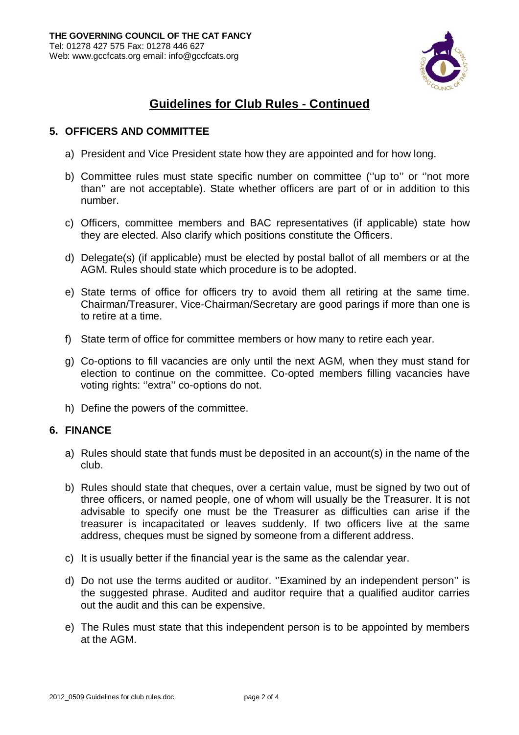

# **Guidelines for Club Rules - Continued**

### **5. OFFICERS AND COMMITTEE**

- a) President and Vice President state how they are appointed and for how long.
- b) Committee rules must state specific number on committee (''up to'' or ''not more than'' are not acceptable). State whether officers are part of or in addition to this number.
- c) Officers, committee members and BAC representatives (if applicable) state how they are elected. Also clarify which positions constitute the Officers.
- d) Delegate(s) (if applicable) must be elected by postal ballot of all members or at the AGM. Rules should state which procedure is to be adopted.
- e) State terms of office for officers try to avoid them all retiring at the same time. Chairman/Treasurer, Vice-Chairman/Secretary are good parings if more than one is to retire at a time.
- f) State term of office for committee members or how many to retire each year.
- g) Co-options to fill vacancies are only until the next AGM, when they must stand for election to continue on the committee. Co-opted members filling vacancies have voting rights: "extra" co-options do not.
- h) Define the powers of the committee.

## **6. FINANCE**

- a) Rules should state that funds must be deposited in an account(s) in the name of the club.
- b) Rules should state that cheques, over a certain value, must be signed by two out of three officers, or named people, one of whom will usually be the Treasurer. It is not advisable to specify one must be the Treasurer as difficulties can arise if the treasurer is incapacitated or leaves suddenly. If two officers live at the same address, cheques must be signed by someone from a different address.
- c) It is usually better if the financial year is the same as the calendar year.
- d) Do not use the terms audited or auditor. ''Examined by an independent person'' is the suggested phrase. Audited and auditor require that a qualified auditor carries out the audit and this can be expensive.
- e) The Rules must state that this independent person is to be appointed by members at the AGM.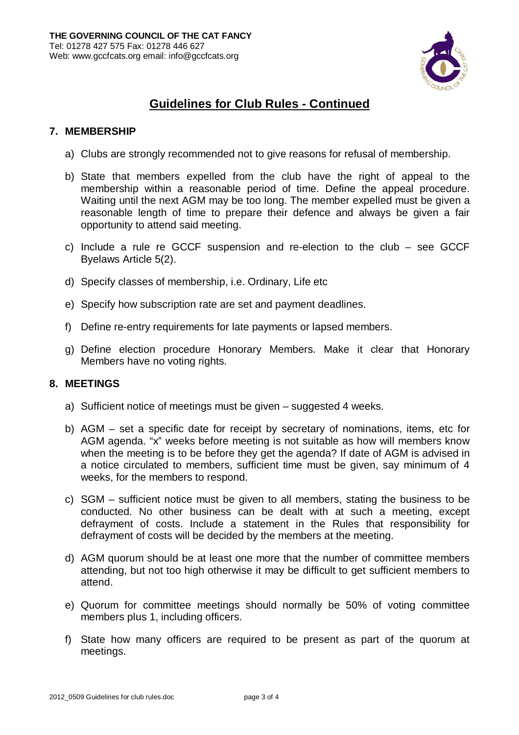

# **Guidelines for Club Rules - Continued**

### **7. MEMBERSHIP**

- a) Clubs are strongly recommended not to give reasons for refusal of membership.
- b) State that members expelled from the club have the right of appeal to the membership within a reasonable period of time. Define the appeal procedure. Waiting until the next AGM may be too long. The member expelled must be given a reasonable length of time to prepare their defence and always be given a fair opportunity to attend said meeting.
- c) Include a rule re GCCF suspension and re-election to the club see GCCF Byelaws Article 5(2).
- d) Specify classes of membership, i.e. Ordinary, Life etc
- e) Specify how subscription rate are set and payment deadlines.
- f) Define re-entry requirements for late payments or lapsed members.
- g) Define election procedure Honorary Members. Make it clear that Honorary Members have no voting rights.

#### **8. MEETINGS**

- a) Sufficient notice of meetings must be given suggested 4 weeks.
- b) AGM set a specific date for receipt by secretary of nominations, items, etc for AGM agenda. "x" weeks before meeting is not suitable as how will members know when the meeting is to be before they get the agenda? If date of AGM is advised in a notice circulated to members, sufficient time must be given, say minimum of 4 weeks, for the members to respond.
- c) SGM sufficient notice must be given to all members, stating the business to be conducted. No other business can be dealt with at such a meeting, except defrayment of costs. Include a statement in the Rules that responsibility for defrayment of costs will be decided by the members at the meeting.
- d) AGM quorum should be at least one more that the number of committee members attending, but not too high otherwise it may be difficult to get sufficient members to attend.
- e) Quorum for committee meetings should normally be 50% of voting committee members plus 1, including officers.
- f) State how many officers are required to be present as part of the quorum at meetings.